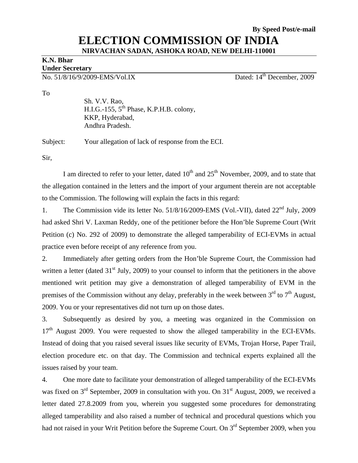## **By Speed Post/e-mail ELECTION COMMISSION OF INDIA NIRVACHAN SADAN, ASHOKA ROAD, NEW DELHI-110001**

#### **K.N. Bhar Under Secretary**

No. 51/8/16/9/2009-EMS/Vol.IX Dated: 14<sup>th</sup> December, 2009

To

 Sh. V.V. Rao,  $H.I.G.-155, 5<sup>th</sup> Phase, K.P.H.B. colony,$  KKP, Hyderabad, Andhra Pradesh.

Subject: Your allegation of lack of response from the ECI.

Sir,

I am directed to refer to your letter, dated  $10<sup>th</sup>$  and  $25<sup>th</sup>$  November, 2009, and to state that the allegation contained in the letters and the import of your argument therein are not acceptable to the Commission. The following will explain the facts in this regard:

1. The Commission vide its letter No.  $51/8/16/2009$ -EMS (Vol.-VII), dated  $22<sup>nd</sup>$  July, 2009 had asked Shri V. Laxman Reddy, one of the petitioner before the Hon'ble Supreme Court (Writ Petition (c) No. 292 of 2009) to demonstrate the alleged tamperability of ECI-EVMs in actual practice even before receipt of any reference from you.

2. Immediately after getting orders from the Hon'ble Supreme Court, the Commission had written a letter (dated  $31<sup>st</sup>$  July, 2009) to your counsel to inform that the petitioners in the above mentioned writ petition may give a demonstration of alleged tamperability of EVM in the premises of the Commission without any delay, preferably in the week between  $3<sup>rd</sup>$  to  $7<sup>th</sup>$  August, 2009. You or your representatives did not turn up on those dates.

3. Subsequently as desired by you, a meeting was organized in the Commission on  $17<sup>th</sup>$  August 2009. You were requested to show the alleged tamperability in the ECI-EVMs. Instead of doing that you raised several issues like security of EVMs, Trojan Horse, Paper Trail, election procedure etc. on that day. The Commission and technical experts explained all the issues raised by your team.

4. One more date to facilitate your demonstration of alleged tamperability of the ECI-EVMs was fixed on  $3<sup>rd</sup>$  September, 2009 in consultation with you. On  $31<sup>st</sup>$  August, 2009, we received a letter dated 27.8.2009 from you, wherein you suggested some procedures for demonstrating alleged tamperability and also raised a number of technical and procedural questions which you had not raised in your Writ Petition before the Supreme Court. On 3<sup>rd</sup> September 2009, when you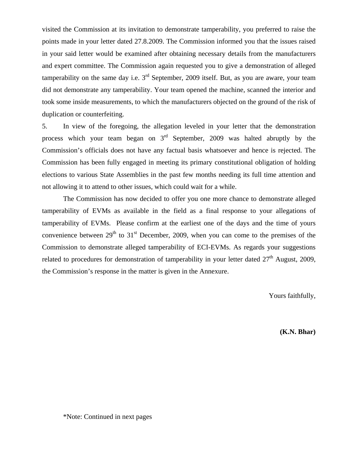visited the Commission at its invitation to demonstrate tamperability, you preferred to raise the points made in your letter dated 27.8.2009. The Commission informed you that the issues raised in your said letter would be examined after obtaining necessary details from the manufacturers and expert committee. The Commission again requested you to give a demonstration of alleged tamperability on the same day i.e.  $3<sup>rd</sup>$  September, 2009 itself. But, as you are aware, your team did not demonstrate any tamperability. Your team opened the machine, scanned the interior and took some inside measurements, to which the manufacturers objected on the ground of the risk of duplication or counterfeiting.

5. In view of the foregoing, the allegation leveled in your letter that the demonstration process which your team began on  $3<sup>rd</sup>$  September, 2009 was halted abruptly by the Commission's officials does not have any factual basis whatsoever and hence is rejected. The Commission has been fully engaged in meeting its primary constitutional obligation of holding elections to various State Assemblies in the past few months needing its full time attention and not allowing it to attend to other issues, which could wait for a while.

The Commission has now decided to offer you one more chance to demonstrate alleged tamperability of EVMs as available in the field as a final response to your allegations of tamperability of EVMs. Please confirm at the earliest one of the days and the time of yours convenience between  $29<sup>th</sup>$  to  $31<sup>st</sup>$  December, 2009, when you can come to the premises of the Commission to demonstrate alleged tamperability of ECI-EVMs. As regards your suggestions related to procedures for demonstration of tamperability in your letter dated  $27<sup>th</sup>$  August, 2009, the Commission's response in the matter is given in the Annexure.

Yours faithfully,

**(K.N. Bhar)**